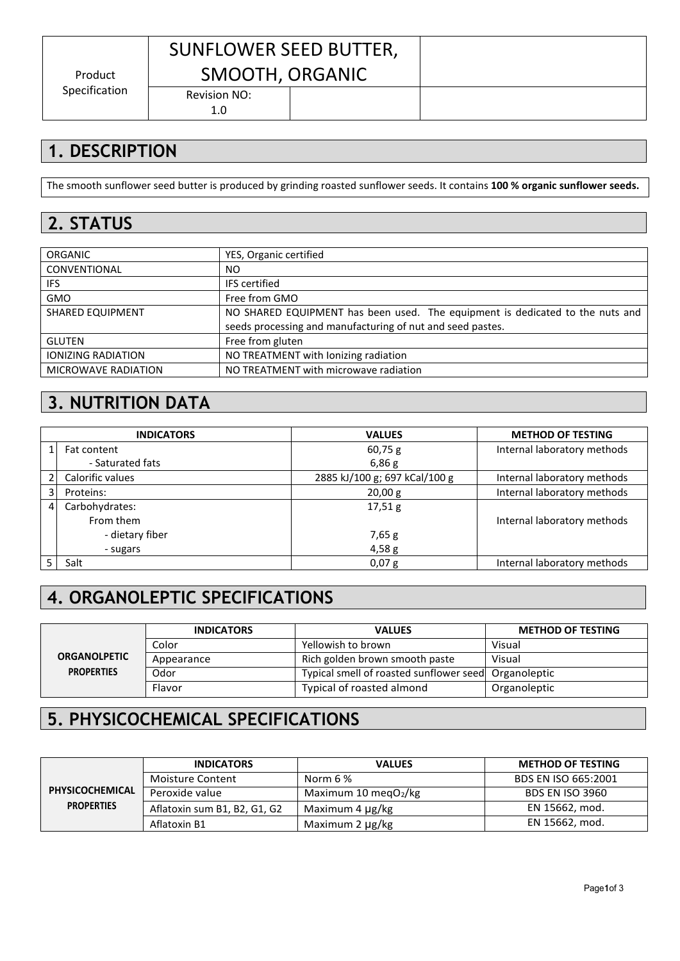Product Specification

# SUNFLOWER SEED BUTTER, SMOOTH, ORGANIC

Revision NO: 1.0

## **1. DESCRIPTION**

The smooth sunflower seed butter is produced by grinding roasted sunflower seeds. It contains **100 % organic sunflower seeds.**

### **2. STATUS**

| <b>ORGANIC</b>             | YES, Organic certified                                                        |
|----------------------------|-------------------------------------------------------------------------------|
| CONVENTIONAL               | NO.                                                                           |
| IFS.                       | <b>IFS</b> certified                                                          |
| <b>GMO</b>                 | Free from GMO                                                                 |
| <b>SHARED EQUIPMENT</b>    | NO SHARED EQUIPMENT has been used. The equipment is dedicated to the nuts and |
|                            | seeds processing and manufacturing of nut and seed pastes.                    |
| <b>GLUTEN</b>              | Free from gluten                                                              |
| <b>IONIZING RADIATION</b>  | NO TREATMENT with lonizing radiation                                          |
| <b>MICROWAVE RADIATION</b> | NO TREATMENT with microwave radiation                                         |

#### **3. NUTRITION DATA**

|                | <b>INDICATORS</b> | <b>VALUES</b>                 | <b>METHOD OF TESTING</b>    |  |
|----------------|-------------------|-------------------------------|-----------------------------|--|
|                | Fat content       | $60,75$ g                     | Internal laboratory methods |  |
|                | - Saturated fats  | 6,86g                         |                             |  |
|                | Calorific values  | 2885 kJ/100 g; 697 kCal/100 g | Internal laboratory methods |  |
| 31             | Proteins:         | 20,00 g                       | Internal laboratory methods |  |
| $\overline{4}$ | Carbohydrates:    | 17,51g                        |                             |  |
|                | From them         |                               | Internal laboratory methods |  |
|                | - dietary fiber   | 7,65 g                        |                             |  |
|                | - sugars          | 4,58g                         |                             |  |
|                | Salt              | 0,07 g                        | Internal laboratory methods |  |

## **4. ORGANOLEPTIC SPECIFICATIONS**

|                     | <b>INDICATORS</b> | <b>VALUES</b>                                        | <b>METHOD OF TESTING</b> |
|---------------------|-------------------|------------------------------------------------------|--------------------------|
|                     | Color             | Yellowish to brown                                   | Visual                   |
| <b>ORGANOLPETIC</b> | Appearance        | Rich golden brown smooth paste<br>Visual             |                          |
| <b>PROPERTIES</b>   | Odor              | Typical smell of roasted sunflower seed Organoleptic |                          |
|                     | Flavor            | Typical of roasted almond                            | Organoleptic             |

### **5. PHYSICOCHEMICAL SPECIFICATIONS**

|                   | <b>INDICATORS</b>            | <b>VALUES</b>            | <b>METHOD OF TESTING</b> |
|-------------------|------------------------------|--------------------------|--------------------------|
|                   | Moisture Content             | Norm 6 %                 | BDS EN ISO 665:2001      |
| PHYSICOCHEMICAL   | Peroxide value               | Maximum 10 megO $_2$ /kg | BDS EN ISO 3960          |
| <b>PROPERTIES</b> | Aflatoxin sum B1, B2, G1, G2 | Maximum 4 µg/kg          | EN 15662, mod.           |
|                   | Aflatoxin B1                 | Maximum 2 µg/kg          | EN 15662, mod.           |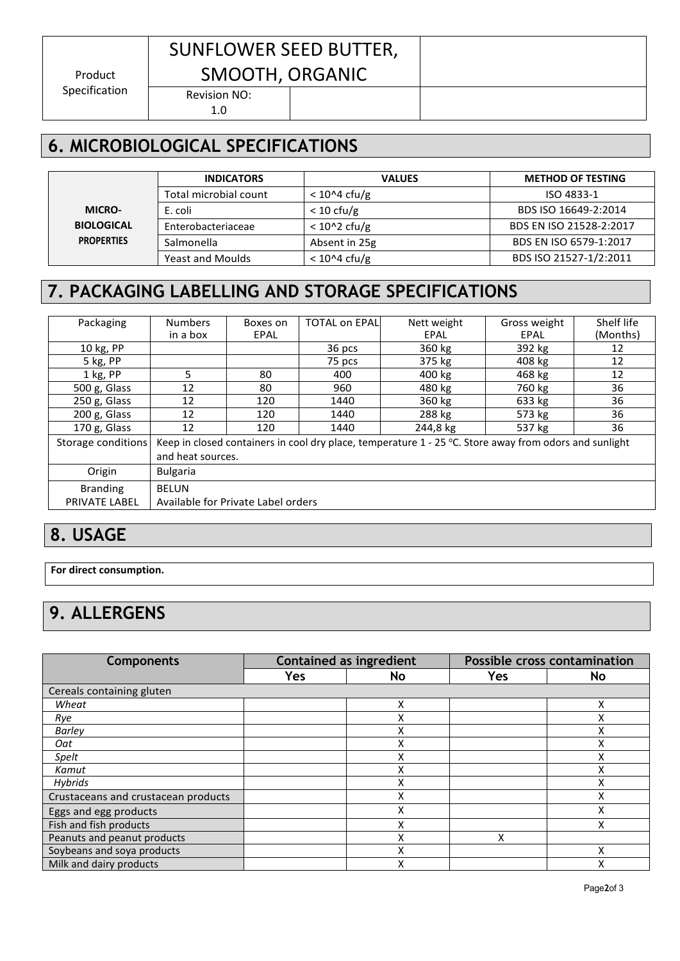Product Specification

# SUNFLOWER SEED BUTTER, SMOOTH, ORGANIC

Revision NO: 1.0

### **6. MICROBIOLOGICAL SPECIFICATIONS**

|                   | <b>INDICATORS</b>       | <b>VALUES</b>        | <b>METHOD OF TESTING</b> |
|-------------------|-------------------------|----------------------|--------------------------|
|                   | Total microbial count   | $<$ 10^4 cfu/g       | ISO 4833-1               |
| <b>MICRO-</b>     | E. coli                 | $< 10 \text{ cfu/g}$ | BDS ISO 16649-2:2014     |
| <b>BIOLOGICAL</b> | Enterobacteriaceae      | $< 10^2$ cfu/g       | BDS EN ISO 21528-2:2017  |
| <b>PROPERTIES</b> | Salmonella              | Absent in 25g        | BDS EN ISO 6579-1:2017   |
|                   | <b>Yeast and Moulds</b> | $<$ 10^4 cfu/g       | BDS ISO 21527-1/2:2011   |

<u> Termin de la provincia de la provincia de la provincia de la provincia de la provincia de la provincia de la </u>

## **7. PACKAGING LABELLING AND STORAGE SPECIFICATIONS**

| Packaging          | <b>Numbers</b>                                                                                           | Boxes on    | <b>TOTAL on EPAL</b> | Nett weight | Gross weight | Shelf life |
|--------------------|----------------------------------------------------------------------------------------------------------|-------------|----------------------|-------------|--------------|------------|
|                    | in a box                                                                                                 | <b>EPAL</b> |                      | EPAL        | EPAL         | (Months)   |
| 10 kg, PP          |                                                                                                          |             | 36 pcs               | 360 kg      | 392 kg       | 12         |
| 5 kg, PP           |                                                                                                          |             | 75 pcs               | 375 kg      | 408 kg       | 12         |
| 1 kg, PP           | 5                                                                                                        | 80          | 400                  | 400 kg      | 468 kg       | 12         |
| 500 g, Glass       | 12                                                                                                       | 80          | 960                  | 480 kg      | 760 kg       | 36         |
| 250 g, Glass       | 12                                                                                                       | 120         | 1440                 | 360 kg      | 633 kg       | 36         |
| 200 g, Glass       | 12                                                                                                       | 120         | 1440                 | 288 kg      | 573 kg       | 36         |
| 170 g, Glass       | 12                                                                                                       | 120         | 1440                 | 244,8 kg    | 537 kg       | 36         |
| Storage conditions | Keep in closed containers in cool dry place, temperature $1 - 25$ °C. Store away from odors and sunlight |             |                      |             |              |            |
|                    | and heat sources.                                                                                        |             |                      |             |              |            |
| Origin             | <b>Bulgaria</b>                                                                                          |             |                      |             |              |            |
| <b>Branding</b>    | <b>BELUN</b>                                                                                             |             |                      |             |              |            |
| PRIVATE LABEL      | Available for Private Label orders                                                                       |             |                      |             |              |            |
|                    |                                                                                                          |             |                      |             |              |            |

#### **8. USAGE**

**For direct consumption.**

## **9. ALLERGENS**

| <b>Components</b>                   | <b>Contained as ingredient</b> |     | <b>Possible cross contamination</b> |             |  |  |
|-------------------------------------|--------------------------------|-----|-------------------------------------|-------------|--|--|
|                                     | <b>Yes</b>                     | No. | Yes                                 | <b>No</b>   |  |  |
| Cereals containing gluten           |                                |     |                                     |             |  |  |
| Wheat                               |                                | Χ   |                                     |             |  |  |
| Rye                                 |                                | Χ   |                                     |             |  |  |
| <b>Barley</b>                       |                                | Χ   |                                     |             |  |  |
| Oat                                 |                                | Χ   |                                     | $\mathbf v$ |  |  |
| Spelt                               |                                | Χ   |                                     |             |  |  |
| Kamut                               |                                | Χ   |                                     |             |  |  |
| <b>Hybrids</b>                      |                                | Χ   |                                     |             |  |  |
| Crustaceans and crustacean products |                                | Χ   |                                     |             |  |  |
| Eggs and egg products               |                                | Χ   |                                     |             |  |  |
| Fish and fish products              |                                | Χ   |                                     |             |  |  |
| Peanuts and peanut products         |                                | Χ   | X                                   |             |  |  |
| Soybeans and soya products          |                                | Χ   |                                     |             |  |  |
| Milk and dairy products             |                                | x   |                                     |             |  |  |